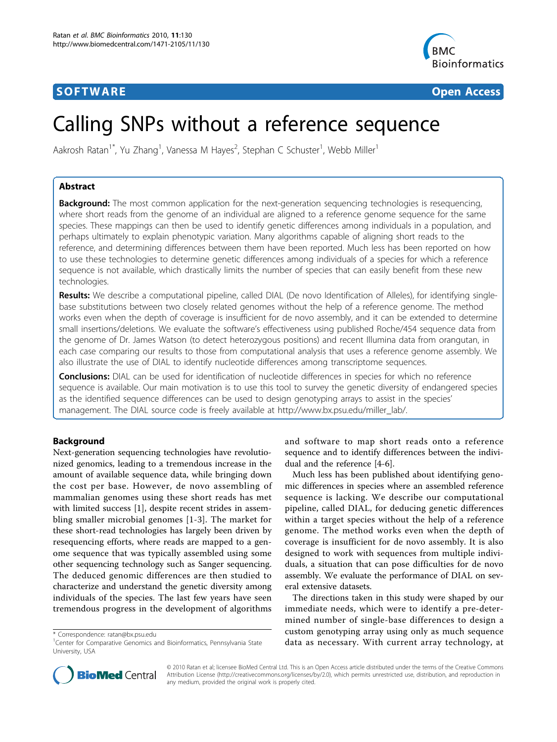# **SOFTWARE SOFTWARE** *CONSERVERSE EXECUTIVE EXECUTIVE EXECUTIVE EXECUTIVE EXECUTIVE EXECUTIVE EXECUTIVE EXECUTIVE EXECUTIVE EXECUTIVE EXECUTIVE EXECUTIVE EXECUTIVE EXECUTIVE EXECUTIVE EXECUTIVE EXECUTIVE EXECUTIVE EXECUT*



# Calling SNPs without a reference sequence

Aakrosh Ratan<sup>1\*</sup>, Yu Zhang<sup>1</sup>, Vanessa M Hayes<sup>2</sup>, Stephan C Schuster<sup>1</sup>, Webb Miller<sup>1</sup>

# Abstract

**Background:** The most common application for the next-generation sequencing technologies is resequencing, where short reads from the genome of an individual are aligned to a reference genome sequence for the same species. These mappings can then be used to identify genetic differences among individuals in a population, and perhaps ultimately to explain phenotypic variation. Many algorithms capable of aligning short reads to the reference, and determining differences between them have been reported. Much less has been reported on how to use these technologies to determine genetic differences among individuals of a species for which a reference sequence is not available, which drastically limits the number of species that can easily benefit from these new technologies.

Results: We describe a computational pipeline, called DIAL (De novo Identification of Alleles), for identifying singlebase substitutions between two closely related genomes without the help of a reference genome. The method works even when the depth of coverage is insufficient for de novo assembly, and it can be extended to determine small insertions/deletions. We evaluate the software's effectiveness using published Roche/454 sequence data from the genome of Dr. James Watson (to detect heterozygous positions) and recent Illumina data from orangutan, in each case comparing our results to those from computational analysis that uses a reference genome assembly. We also illustrate the use of DIAL to identify nucleotide differences among transcriptome sequences.

**Conclusions:** DIAL can be used for identification of nucleotide differences in species for which no reference sequence is available. Our main motivation is to use this tool to survey the genetic diversity of endangered species as the identified sequence differences can be used to design genotyping arrays to assist in the species' management. The DIAL source code is freely available at [http://www.bx.psu.edu/miller\\_lab/.](http://www.bx.psu.edu/miller_lab/)

# Background

Next-generation sequencing technologies have revolutionized genomics, leading to a tremendous increase in the amount of available sequence data, while bringing down the cost per base. However, de novo assembling of mammalian genomes using these short reads has met with limited success [\[1](#page-11-0)], despite recent strides in assembling smaller microbial genomes [\[1-3](#page-11-0)]. The market for these short-read technologies has largely been driven by resequencing efforts, where reads are mapped to a genome sequence that was typically assembled using some other sequencing technology such as Sanger sequencing. The deduced genomic differences are then studied to characterize and understand the genetic diversity among individuals of the species. The last few years have seen tremendous progress in the development of algorithms

and software to map short reads onto a reference sequence and to identify differences between the individual and the reference [\[4](#page-11-0)-[6\]](#page-11-0).

Much less has been published about identifying genomic differences in species where an assembled reference sequence is lacking. We describe our computational pipeline, called DIAL, for deducing genetic differences within a target species without the help of a reference genome. The method works even when the depth of coverage is insufficient for de novo assembly. It is also designed to work with sequences from multiple individuals, a situation that can pose difficulties for de novo assembly. We evaluate the performance of DIAL on several extensive datasets.

The directions taken in this study were shaped by our immediate needs, which were to identify a pre-determined number of single-base differences to design a custom genotyping array using only as much sequence data as necessary. With current array technology, at



© 2010 Ratan et al; licensee BioMed Central Ltd. This is an Open Access article distributed under the terms of the Creative Commons Attribution License [\(http://creativecommons.org/licenses/by/2.0](http://creativecommons.org/licenses/by/2.0)), which permits unrestricted use, distribution, and reproduction in any medium, provided the original work is properly cited.

<sup>\*</sup> Correspondence: [ratan@bx.psu.edu](mailto:ratan@bx.psu.edu)

<sup>&</sup>lt;sup>1</sup>Center for Comparative Genomics and Bioinformatics, Pennsylvania State University, USA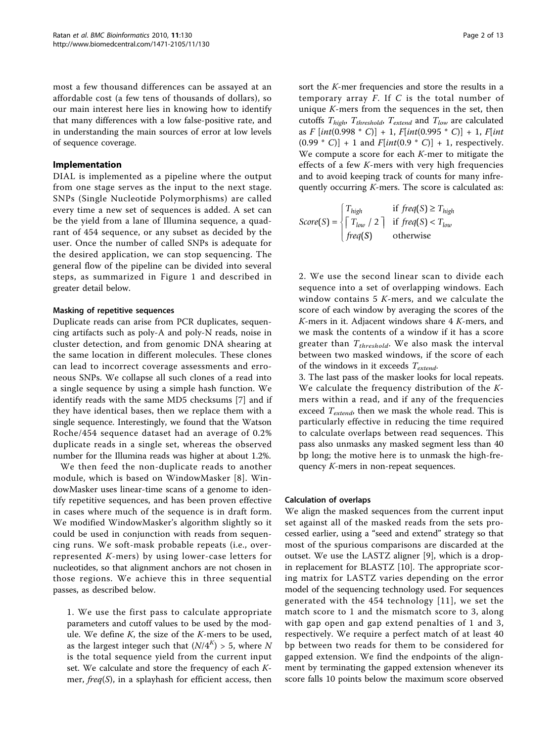most a few thousand differences can be assayed at an affordable cost (a few tens of thousands of dollars), so our main interest here lies in knowing how to identify that many differences with a low false-positive rate, and in understanding the main sources of error at low levels of sequence coverage.

#### Implementation

DIAL is implemented as a pipeline where the output from one stage serves as the input to the next stage. SNPs (Single Nucleotide Polymorphisms) are called every time a new set of sequences is added. A set can be the yield from a lane of Illumina sequence, a quadrant of 454 sequence, or any subset as decided by the user. Once the number of called SNPs is adequate for the desired application, we can stop sequencing. The general flow of the pipeline can be divided into several steps, as summarized in Figure [1](#page-2-0) and described in greater detail below.

#### Masking of repetitive sequences

Duplicate reads can arise from PCR duplicates, sequencing artifacts such as poly-A and poly-N reads, noise in cluster detection, and from genomic DNA shearing at the same location in different molecules. These clones can lead to incorrect coverage assessments and erroneous SNPs. We collapse all such clones of a read into a single sequence by using a simple hash function. We identify reads with the same MD5 checksums [[7\]](#page-11-0) and if they have identical bases, then we replace them with a single sequence. Interestingly, we found that the Watson Roche/454 sequence dataset had an average of 0.2% duplicate reads in a single set, whereas the observed number for the Illumina reads was higher at about 1.2%.

We then feed the non-duplicate reads to another module, which is based on WindowMasker [[8\]](#page-11-0). WindowMasker uses linear-time scans of a genome to identify repetitive sequences, and has been proven effective in cases where much of the sequence is in draft form. We modified WindowMasker's algorithm slightly so it could be used in conjunction with reads from sequencing runs. We soft-mask probable repeats (i.e., overrepresented K-mers) by using lower-case letters for nucleotides, so that alignment anchors are not chosen in those regions. We achieve this in three sequential passes, as described below.

1. We use the first pass to calculate appropriate parameters and cutoff values to be used by the module. We define  $K$ , the size of the  $K$ -mers to be used, as the largest integer such that  $(N/4^K) > 5$ , where N is the total sequence yield from the current input set. We calculate and store the frequency of each Kmer,  $freq(S)$ , in a splayhash for efficient access, then sort the K-mer frequencies and store the results in a temporary array  $F$ . If  $C$  is the total number of unique  $K$ -mers from the sequences in the set, then cutoffs  $T_{high}$ ,  $T_{threshold}$ ,  $T_{extend}$  and  $T_{low}$  are calculated as  $F [int(0.998 * C)] + 1$ ,  $F[int(0.995 * C)] + 1$ ,  $F[int$  $(0.99 * C] + 1$  and  $F(int(0.9 * C)] + 1$ , respectively. We compute a score for each *K*-mer to mitigate the effects of a few K-mers with very high frequencies and to avoid keeping track of counts for many infrequently occurring  $K$ -mers. The score is calculated as:

$$
Score(S) = \begin{cases} T_{high} & \text{if } freq(S) \ge T_{high} \\ \begin{bmatrix} T_{low} / 2 \\ freq(S) \end{bmatrix} & \text{if } freq(S) < T_{low} \\ freq(S) & \text{otherwise} \end{cases}
$$

2. We use the second linear scan to divide each sequence into a set of overlapping windows. Each window contains 5 K-mers, and we calculate the score of each window by averaging the scores of the K-mers in it. Adjacent windows share 4 K-mers, and we mask the contents of a window if it has a score greater than  $T_{threshold}$ . We also mask the interval between two masked windows, if the score of each of the windows in it exceeds  $T_{extend}$ .

3. The last pass of the masker looks for local repeats. We calculate the frequency distribution of the Kmers within a read, and if any of the frequencies exceed  $T_{extend}$ , then we mask the whole read. This is particularly effective in reducing the time required to calculate overlaps between read sequences. This pass also unmasks any masked segment less than 40 bp long; the motive here is to unmask the high-frequency K-mers in non-repeat sequences.

#### Calculation of overlaps

We align the masked sequences from the current input set against all of the masked reads from the sets processed earlier, using a "seed and extend" strategy so that most of the spurious comparisons are discarded at the outset. We use the LASTZ aligner [[9\]](#page-11-0), which is a dropin replacement for BLASTZ [\[10](#page-11-0)]. The appropriate scoring matrix for LASTZ varies depending on the error model of the sequencing technology used. For sequences generated with the 454 technology [[11\]](#page-11-0), we set the match score to 1 and the mismatch score to 3, along with gap open and gap extend penalties of 1 and 3, respectively. We require a perfect match of at least 40 bp between two reads for them to be considered for gapped extension. We find the endpoints of the alignment by terminating the gapped extension whenever its score falls 10 points below the maximum score observed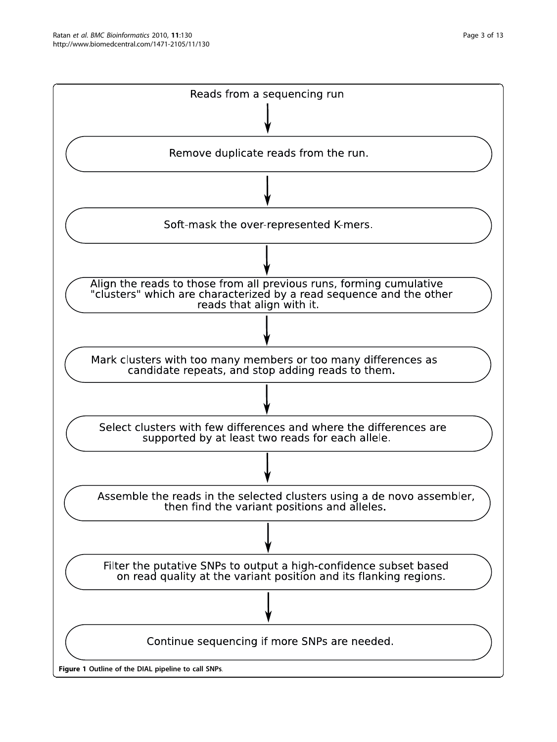<span id="page-2-0"></span>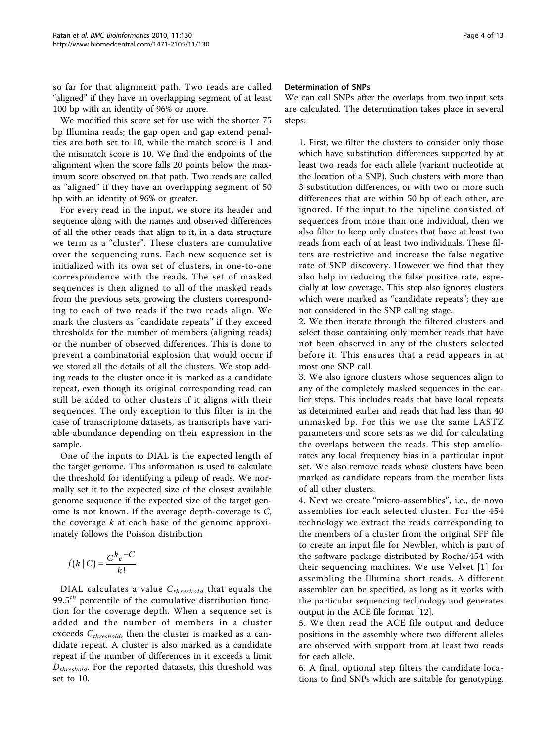so far for that alignment path. Two reads are called "aligned" if they have an overlapping segment of at least 100 bp with an identity of 96% or more.

We modified this score set for use with the shorter 75 bp Illumina reads; the gap open and gap extend penalties are both set to 10, while the match score is 1 and the mismatch score is 10. We find the endpoints of the alignment when the score falls 20 points below the maximum score observed on that path. Two reads are called as "aligned" if they have an overlapping segment of 50 bp with an identity of 96% or greater.

For every read in the input, we store its header and sequence along with the names and observed differences of all the other reads that align to it, in a data structure we term as a "cluster". These clusters are cumulative over the sequencing runs. Each new sequence set is initialized with its own set of clusters, in one-to-one correspondence with the reads. The set of masked sequences is then aligned to all of the masked reads from the previous sets, growing the clusters corresponding to each of two reads if the two reads align. We mark the clusters as "candidate repeats" if they exceed thresholds for the number of members (aligning reads) or the number of observed differences. This is done to prevent a combinatorial explosion that would occur if we stored all the details of all the clusters. We stop adding reads to the cluster once it is marked as a candidate repeat, even though its original corresponding read can still be added to other clusters if it aligns with their sequences. The only exception to this filter is in the case of transcriptome datasets, as transcripts have variable abundance depending on their expression in the sample.

One of the inputs to DIAL is the expected length of the target genome. This information is used to calculate the threshold for identifying a pileup of reads. We normally set it to the expected size of the closest available genome sequence if the expected size of the target genome is not known. If the average depth-coverage is C, the coverage  $k$  at each base of the genome approximately follows the Poisson distribution

$$
f(k \mid C) = \frac{C^k e^{-C}}{k!}
$$

DIAL calculates a value  $C_{threshold}$  that equals the 99.5 $^{th}$  percentile of the cumulative distribution function for the coverage depth. When a sequence set is added and the number of members in a cluster exceeds  $C_{threshold}$ , then the cluster is marked as a candidate repeat. A cluster is also marked as a candidate repeat if the number of differences in it exceeds a limit  $D_{threshold}$ . For the reported datasets, this threshold was set to 10.

#### Determination of SNPs

We can call SNPs after the overlaps from two input sets are calculated. The determination takes place in several steps:

1. First, we filter the clusters to consider only those which have substitution differences supported by at least two reads for each allele (variant nucleotide at the location of a SNP). Such clusters with more than 3 substitution differences, or with two or more such differences that are within 50 bp of each other, are ignored. If the input to the pipeline consisted of sequences from more than one individual, then we also filter to keep only clusters that have at least two reads from each of at least two individuals. These filters are restrictive and increase the false negative rate of SNP discovery. However we find that they also help in reducing the false positive rate, especially at low coverage. This step also ignores clusters which were marked as "candidate repeats"; they are not considered in the SNP calling stage.

2. We then iterate through the filtered clusters and select those containing only member reads that have not been observed in any of the clusters selected before it. This ensures that a read appears in at most one SNP call.

3. We also ignore clusters whose sequences align to any of the completely masked sequences in the earlier steps. This includes reads that have local repeats as determined earlier and reads that had less than 40 unmasked bp. For this we use the same LASTZ parameters and score sets as we did for calculating the overlaps between the reads. This step ameliorates any local frequency bias in a particular input set. We also remove reads whose clusters have been marked as candidate repeats from the member lists of all other clusters.

4. Next we create "micro-assemblies", i.e., de novo assemblies for each selected cluster. For the 454 technology we extract the reads corresponding to the members of a cluster from the original SFF file to create an input file for Newbler, which is part of the software package distributed by Roche/454 with their sequencing machines. We use Velvet [[1](#page-11-0)] for assembling the Illumina short reads. A different assembler can be specified, as long as it works with the particular sequencing technology and generates output in the ACE file format [[12\]](#page-11-0).

5. We then read the ACE file output and deduce positions in the assembly where two different alleles are observed with support from at least two reads for each allele.

6. A final, optional step filters the candidate locations to find SNPs which are suitable for genotyping.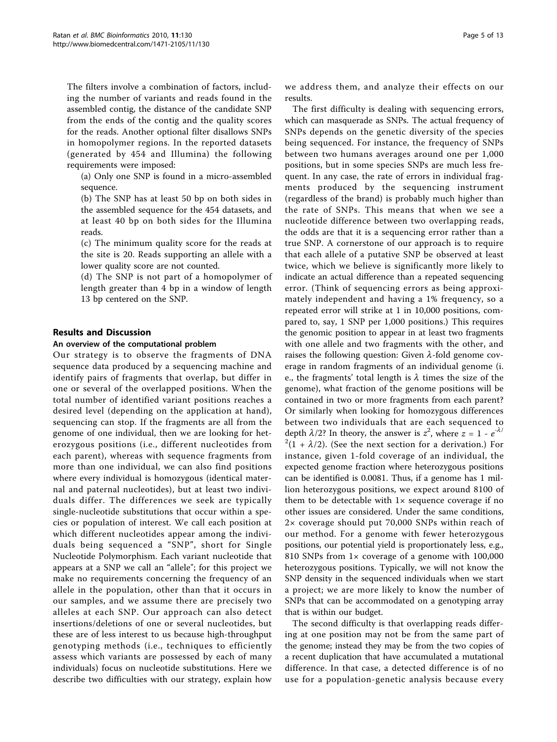The filters involve a combination of factors, including the number of variants and reads found in the assembled contig, the distance of the candidate SNP from the ends of the contig and the quality scores for the reads. Another optional filter disallows SNPs in homopolymer regions. In the reported datasets (generated by 454 and Illumina) the following requirements were imposed:

(a) Only one SNP is found in a micro-assembled sequence.

(b) The SNP has at least 50 bp on both sides in the assembled sequence for the 454 datasets, and at least 40 bp on both sides for the Illumina reads.

(c) The minimum quality score for the reads at the site is 20. Reads supporting an allele with a lower quality score are not counted.

(d) The SNP is not part of a homopolymer of length greater than 4 bp in a window of length 13 bp centered on the SNP.

# Results and Discussion

#### An overview of the computational problem

Our strategy is to observe the fragments of DNA sequence data produced by a sequencing machine and identify pairs of fragments that overlap, but differ in one or several of the overlapped positions. When the total number of identified variant positions reaches a desired level (depending on the application at hand), sequencing can stop. If the fragments are all from the genome of one individual, then we are looking for heterozygous positions (i.e., different nucleotides from each parent), whereas with sequence fragments from more than one individual, we can also find positions where every individual is homozygous (identical maternal and paternal nucleotides), but at least two individuals differ. The differences we seek are typically single-nucleotide substitutions that occur within a species or population of interest. We call each position at which different nucleotides appear among the individuals being sequenced a "SNP", short for Single Nucleotide Polymorphism. Each variant nucleotide that appears at a SNP we call an "allele"; for this project we make no requirements concerning the frequency of an allele in the population, other than that it occurs in our samples, and we assume there are precisely two alleles at each SNP. Our approach can also detect insertions/deletions of one or several nucleotides, but these are of less interest to us because high-throughput genotyping methods (i.e., techniques to efficiently assess which variants are possessed by each of many individuals) focus on nucleotide substitutions. Here we describe two difficulties with our strategy, explain how we address them, and analyze their effects on our results.

The first difficulty is dealing with sequencing errors, which can masquerade as SNPs. The actual frequency of SNPs depends on the genetic diversity of the species being sequenced. For instance, the frequency of SNPs between two humans averages around one per 1,000 positions, but in some species SNPs are much less frequent. In any case, the rate of errors in individual fragments produced by the sequencing instrument (regardless of the brand) is probably much higher than the rate of SNPs. This means that when we see a nucleotide difference between two overlapping reads, the odds are that it is a sequencing error rather than a true SNP. A cornerstone of our approach is to require that each allele of a putative SNP be observed at least twice, which we believe is significantly more likely to indicate an actual difference than a repeated sequencing error. (Think of sequencing errors as being approximately independent and having a 1% frequency, so a repeated error will strike at 1 in 10,000 positions, compared to, say, 1 SNP per 1,000 positions.) This requires the genomic position to appear in at least two fragments with one allele and two fragments with the other, and raises the following question: Given  $\lambda$ -fold genome coverage in random fragments of an individual genome (i. e., the fragments' total length is  $\lambda$  times the size of the genome), what fraction of the genome positions will be contained in two or more fragments from each parent? Or similarly when looking for homozygous differences between two individuals that are each sequenced to depth  $\lambda/2$ ? In theory, the answer is  $z^2$ , where  $z = 1 - e^{-\lambda/2}$  $^{2}(1 + \lambda/2)$ . (See the next section for a derivation.) For instance, given 1-fold coverage of an individual, the expected genome fraction where heterozygous positions can be identified is 0.0081. Thus, if a genome has 1 million heterozygous positions, we expect around 8100 of them to be detectable with  $1 \times$  sequence coverage if no other issues are considered. Under the same conditions, 2× coverage should put 70,000 SNPs within reach of our method. For a genome with fewer heterozygous positions, our potential yield is proportionately less, e.g., 810 SNPs from 1× coverage of a genome with 100,000 heterozygous positions. Typically, we will not know the SNP density in the sequenced individuals when we start a project; we are more likely to know the number of SNPs that can be accommodated on a genotyping array that is within our budget.

The second difficulty is that overlapping reads differing at one position may not be from the same part of the genome; instead they may be from the two copies of a recent duplication that have accumulated a mutational difference. In that case, a detected difference is of no use for a population-genetic analysis because every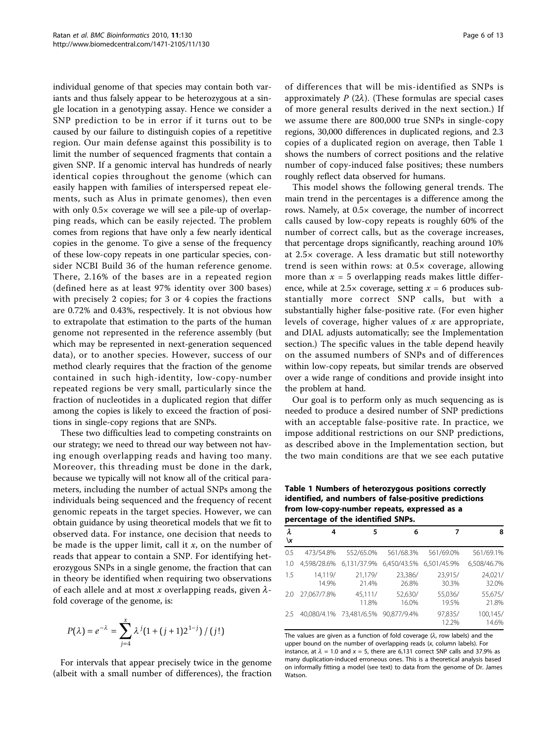individual genome of that species may contain both variants and thus falsely appear to be heterozygous at a single location in a genotyping assay. Hence we consider a SNP prediction to be in error if it turns out to be caused by our failure to distinguish copies of a repetitive region. Our main defense against this possibility is to limit the number of sequenced fragments that contain a given SNP. If a genomic interval has hundreds of nearly identical copies throughout the genome (which can easily happen with families of interspersed repeat elements, such as Alus in primate genomes), then even with only  $0.5 \times$  coverage we will see a pile-up of overlapping reads, which can be easily rejected. The problem comes from regions that have only a few nearly identical copies in the genome. To give a sense of the frequency of these low-copy repeats in one particular species, consider NCBI Build 36 of the human reference genome. There, 2.16% of the bases are in a repeated region (defined here as at least 97% identity over 300 bases) with precisely 2 copies; for 3 or 4 copies the fractions are 0.72% and 0.43%, respectively. It is not obvious how to extrapolate that estimation to the parts of the human genome not represented in the reference assembly (but which may be represented in next-generation sequenced data), or to another species. However, success of our method clearly requires that the fraction of the genome contained in such high-identity, low-copy-number repeated regions be very small, particularly since the fraction of nucleotides in a duplicated region that differ among the copies is likely to exceed the fraction of positions in single-copy regions that are SNPs.

These two difficulties lead to competing constraints on our strategy; we need to thread our way between not having enough overlapping reads and having too many. Moreover, this threading must be done in the dark, because we typically will not know all of the critical parameters, including the number of actual SNPs among the individuals being sequenced and the frequency of recent genomic repeats in the target species. However, we can obtain guidance by using theoretical models that we fit to observed data. For instance, one decision that needs to be made is the upper limit, call it  $x$ , on the number of reads that appear to contain a SNP. For identifying heterozygous SNPs in a single genome, the fraction that can in theory be identified when requiring two observations of each allele and at most x overlapping reads, given  $\lambda$ fold coverage of the genome, is:

$$
P(\lambda) = e^{-\lambda} = \sum_{j=4}^{x} \lambda^{j} (1 + (j+1)2^{1-j}) / (j!)
$$

For intervals that appear precisely twice in the genome (albeit with a small number of differences), the fraction

of differences that will be mis-identified as SNPs is approximately  $P(2\lambda)$ . (These formulas are special cases of more general results derived in the next section.) If we assume there are 800,000 true SNPs in single-copy regions, 30,000 differences in duplicated regions, and 2.3 copies of a duplicated region on average, then Table 1 shows the numbers of correct positions and the relative number of copy-induced false positives; these numbers roughly reflect data observed for humans.

This model shows the following general trends. The main trend in the percentages is a difference among the rows. Namely, at 0.5× coverage, the number of incorrect calls caused by low-copy repeats is roughly 60% of the number of correct calls, but as the coverage increases, that percentage drops significantly, reaching around 10% at 2.5× coverage. A less dramatic but still noteworthy trend is seen within rows: at 0.5× coverage, allowing more than  $x = 5$  overlapping reads makes little difference, while at  $2.5 \times$  coverage, setting  $x = 6$  produces substantially more correct SNP calls, but with a substantially higher false-positive rate. (For even higher levels of coverage, higher values of  $x$  are appropriate, and DIAL adjusts automatically; see the Implementation section.) The specific values in the table depend heavily on the assumed numbers of SNPs and of differences within low-copy repeats, but similar trends are observed over a wide range of conditions and provide insight into the problem at hand.

Our goal is to perform only as much sequencing as is needed to produce a desired number of SNP predictions with an acceptable false-positive rate. In practice, we impose additional restrictions on our SNP predictions, as described above in the Implementation section, but the two main conditions are that we see each putative

Table 1 Numbers of heterozygous positions correctly identified, and numbers of false-positive predictions from low-copy-number repeats, expressed as a percentage of the identified SNPs.

| 8                 | 7                | 6                       | 5                       | 4                | λ<br>۱x |
|-------------------|------------------|-------------------------|-------------------------|------------------|---------|
| 561/69.1%         | 561/69.0%        | 561/68.3%               | 552/65.0%               | 473/54.8%        | 0.5     |
| 6,508/46.7%       |                  | 6,450/43.5% 6,501/45.9% | 6,131/37.9%             | 4.598/28.6%      | 1.0     |
| 24,021/<br>32.0%  | 23,915/<br>30.3% | 23,386/<br>26.8%        | 21.179/<br>21.4%        | 14.119/<br>14.9% | 1.5     |
| 55,675/<br>21.8%  | 55,036/<br>19.5% | 52,630/<br>16.0%        | 45,111/<br>11.8%        | 27,067/7.8%      | 2.0     |
| 100,145/<br>14.6% | 97,835/<br>12.2% | 90.877/9.4%             | 40,080/4.1% 73,481/6.5% |                  | 2.5     |

The values are given as a function of fold coverage  $(\lambda, r$  row labels) and the upper bound on the number of overlapping reads (x, column labels). For instance, at  $\lambda = 1.0$  and  $x = 5$ , there are 6,131 correct SNP calls and 37.9% as many duplication-induced erroneous ones. This is a theoretical analysis based on informally fitting a model (see text) to data from the genome of Dr. James Watson.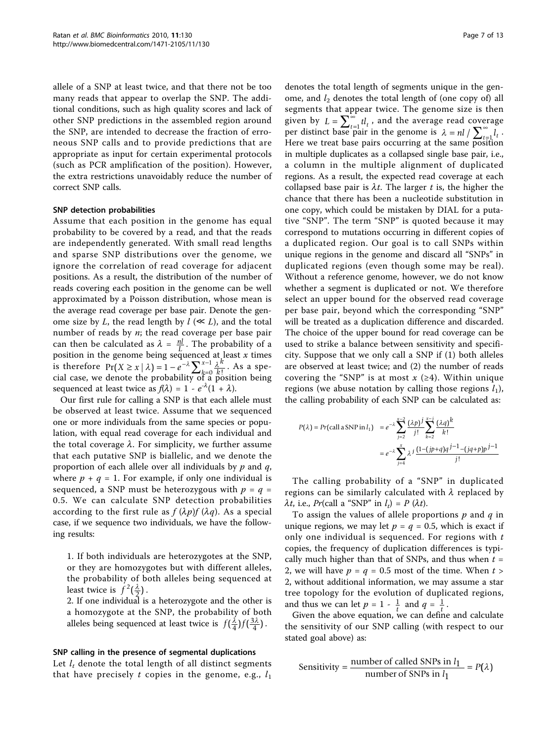allele of a SNP at least twice, and that there not be too many reads that appear to overlap the SNP. The additional conditions, such as high quality scores and lack of other SNP predictions in the assembled region around the SNP, are intended to decrease the fraction of erroneous SNP calls and to provide predictions that are appropriate as input for certain experimental protocols (such as PCR amplification of the position). However, the extra restrictions unavoidably reduce the number of correct SNP calls.

#### SNP detection probabilities

Assume that each position in the genome has equal probability to be covered by a read, and that the reads are independently generated. With small read lengths and sparse SNP distributions over the genome, we ignore the correlation of read coverage for adjacent positions. As a result, the distribution of the number of reads covering each position in the genome can be well approximated by a Poisson distribution, whose mean is the average read coverage per base pair. Denote the genome size by L, the read length by  $l \ll L$ ), and the total number of reads by  $n$ ; the read coverage per base pair can then be calculated as  $\lambda = \frac{nl}{L}$ . The probability of a position in the genome being sequenced at least *x* times is therefore  $Pr(X \ge x | \lambda) = 1 - e^{-\lambda} \sum_{k=0}^{x-1} \frac{\lambda^k}{k!}$  $\geq x \mid \lambda$ ) = 1 –  $e^{-\lambda} \sum_{k=0}^{x-1} \frac{\lambda^k}{k!}$ . As a special case, we denote the probability of a position being sequenced at least twice as  $f(\lambda) = 1 - e^{-\lambda}(1 + \lambda)$ .

Our first rule for calling a SNP is that each allele must be observed at least twice. Assume that we sequenced one or more individuals from the same species or population, with equal read coverage for each individual and the total coverage  $\lambda$ . For simplicity, we further assume that each putative SNP is biallelic, and we denote the proportion of each allele over all individuals by  $p$  and  $q$ , where  $p + q = 1$ . For example, if only one individual is sequenced, a SNP must be heterozygous with  $p = q =$ 0.5. We can calculate SNP detection probabilities according to the first rule as  $f(\lambda p)f(\lambda q)$ . As a special case, if we sequence two individuals, we have the following results:

1. If both individuals are heterozygotes at the SNP, or they are homozygotes but with different alleles, the probability of both alleles being sequenced at least twice is  $f^2(\frac{\lambda}{2})$ .

2. If one individual is a heterozygote and the other is a homozygote at the SNP, the probability of both alleles being sequenced at least twice is  $f(\frac{\lambda}{4})f(\frac{3\lambda}{4})$  $\frac{3\lambda}{4}$ .

#### SNP calling in the presence of segmental duplications

Let  $l_t$  denote the total length of all distinct segments that have precisely t copies in the genome, e.g.,  $l_1$ 

denotes the total length of segments unique in the genome, and  $l_2$  denotes the total length of (one copy of) all segments that appear twice. The genome size is then given by  $L = \sum_{t=1}^{\infty} t_l t_t$ , and the average read coverage per distinct base pair in the genome is  $\lambda = nl / \sum_{t=1}^{\infty} l_t$ . Here we treat base pairs occurring at the same position in multiple duplicates as a collapsed single base pair, i.e., a column in the multiple alignment of duplicated regions. As a result, the expected read coverage at each collapsed base pair is  $\lambda t$ . The larger t is, the higher the chance that there has been a nucleotide substitution in one copy, which could be mistaken by DIAL for a putative "SNP". The term "SNP" is quoted because it may correspond to mutations occurring in different copies of a duplicated region. Our goal is to call SNPs within unique regions in the genome and discard all "SNPs" in duplicated regions (even though some may be real). Without a reference genome, however, we do not know whether a segment is duplicated or not. We therefore select an upper bound for the observed read coverage per base pair, beyond which the corresponding "SNP" will be treated as a duplication difference and discarded. The choice of the upper bound for read coverage can be used to strike a balance between sensitivity and specificity. Suppose that we only call a SNP if (1) both alleles are observed at least twice; and (2) the number of reads covering the "SNP" is at most  $x$  (≥4). Within unique regions (we abuse notation by calling those regions  $l_1$ ), the calling probability of each SNP can be calculated as:

$$
P(\lambda) = Pr[\text{call a SNP in } l_1] = e^{-\lambda} \sum_{j=2}^{x-2} \frac{(\lambda p)^j}{j!} \sum_{k=2}^{x-j} \frac{(\lambda q)^k}{k!}
$$

$$
= e^{-\lambda} \sum_{j=4}^{x} \lambda^j \frac{(1-(jp+q)q)^{j-1}-(jq+p)p^{j-1}}{j!}
$$

The calling probability of a "SNP" in duplicated regions can be similarly calculated with  $\lambda$  replaced by  $\lambda t$ , i.e., Pr(call a "SNP" in  $l_t$ ) = P ( $\lambda t$ ).

To assign the values of allele proportions  $p$  and  $q$  in unique regions, we may let  $p = q = 0.5$ , which is exact if only one individual is sequenced. For regions with  $t$ copies, the frequency of duplication differences is typically much higher than that of SNPs, and thus when  $t =$ 2, we will have  $p = q = 0.5$  most of the time. When  $t >$ 2, without additional information, we may assume a star tree topology for the evolution of duplicated regions, and thus we can let  $p = 1 - \frac{1}{t}$  and  $q = \frac{1}{t}$ .

Given the above equation, we can define and calculate the sensitivity of our SNP calling (with respect to our stated goal above) as:

Sensitivity = 
$$
\frac{\text{number of called SNPs in } l_1}{\text{number of SNPs in } l_1} = P(\lambda)
$$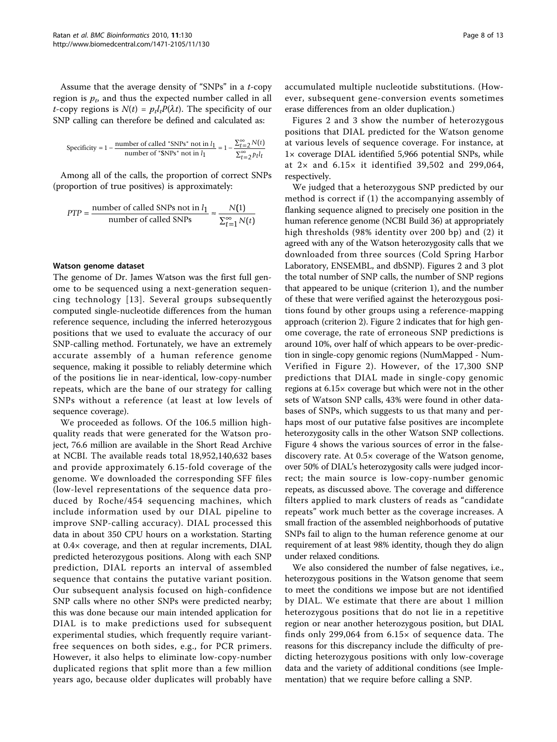Assume that the average density of "SNPs" in a t-copy region is  $p_t$ , and thus the expected number called in all *t*-copy regions is  $N(t) = p_t l_t P(\lambda t)$ . The specificity of our SNP calling can therefore be defined and calculated as:

Specificity = 1 - 
$$
\frac{\text{number of called "SNPs" not in } l_1}{\text{number of "SNPs" not in } l_1} = 1 - \frac{\sum_{t=2}^{\infty} N(t)}{\sum_{t=2}^{\infty} p_t l_t}
$$

Among all of the calls, the proportion of correct SNPs (proportion of true positives) is approximately:

$$
PTP = \frac{\text{number of called SNPs not in } l_1}{\text{number of called SNPs}} \approx \frac{N(1)}{\sum_{t=1}^{\infty} N(t)}
$$

#### Watson genome dataset

The genome of Dr. James Watson was the first full genome to be sequenced using a next-generation sequencing technology [[13\]](#page-11-0). Several groups subsequently computed single-nucleotide differences from the human reference sequence, including the inferred heterozygous positions that we used to evaluate the accuracy of our SNP-calling method. Fortunately, we have an extremely accurate assembly of a human reference genome sequence, making it possible to reliably determine which of the positions lie in near-identical, low-copy-number repeats, which are the bane of our strategy for calling SNPs without a reference (at least at low levels of sequence coverage).

We proceeded as follows. Of the 106.5 million highquality reads that were generated for the Watson project, 76.6 million are available in the Short Read Archive at NCBI. The available reads total 18,952,140,632 bases and provide approximately 6.15-fold coverage of the genome. We downloaded the corresponding SFF files (low-level representations of the sequence data produced by Roche/454 sequencing machines, which include information used by our DIAL pipeline to improve SNP-calling accuracy). DIAL processed this data in about 350 CPU hours on a workstation. Starting at 0.4× coverage, and then at regular increments, DIAL predicted heterozygous positions. Along with each SNP prediction, DIAL reports an interval of assembled sequence that contains the putative variant position. Our subsequent analysis focused on high-confidence SNP calls where no other SNPs were predicted nearby; this was done because our main intended application for DIAL is to make predictions used for subsequent experimental studies, which frequently require variantfree sequences on both sides, e.g., for PCR primers. However, it also helps to eliminate low-copy-number duplicated regions that split more than a few million years ago, because older duplicates will probably have accumulated multiple nucleotide substitutions. (However, subsequent gene-conversion events sometimes erase differences from an older duplication.)

Figures [2](#page-8-0) and [3](#page-8-0) show the number of heterozygous positions that DIAL predicted for the Watson genome at various levels of sequence coverage. For instance, at 1× coverage DIAL identified 5,966 potential SNPs, while at  $2 \times$  and  $6.15 \times$  it identified 39,502 and 299,064, respectively.

We judged that a heterozygous SNP predicted by our method is correct if (1) the accompanying assembly of flanking sequence aligned to precisely one position in the human reference genome (NCBI Build 36) at appropriately high thresholds (98% identity over 200 bp) and (2) it agreed with any of the Watson heterozygosity calls that we downloaded from three sources (Cold Spring Harbor Laboratory, ENSEMBL, and dbSNP). Figures [2](#page-8-0) and [3](#page-8-0) plot the total number of SNP calls, the number of SNP regions that appeared to be unique (criterion 1), and the number of these that were verified against the heterozygous positions found by other groups using a reference-mapping approach (criterion 2). Figure [2](#page-8-0) indicates that for high genome coverage, the rate of erroneous SNP predictions is around 10%, over half of which appears to be over-prediction in single-copy genomic regions (NumMapped - Num-Verified in Figure [2\)](#page-8-0). However, of the 17,300 SNP predictions that DIAL made in single-copy genomic regions at 6.15× coverage but which were not in the other sets of Watson SNP calls, 43% were found in other databases of SNPs, which suggests to us that many and perhaps most of our putative false positives are incomplete heterozygosity calls in the other Watson SNP collections. Figure [4](#page-9-0) shows the various sources of error in the falsediscovery rate. At 0.5× coverage of the Watson genome, over 50% of DIAL's heterozygosity calls were judged incorrect; the main source is low-copy-number genomic repeats, as discussed above. The coverage and difference filters applied to mark clusters of reads as "candidate repeats" work much better as the coverage increases. A small fraction of the assembled neighborhoods of putative SNPs fail to align to the human reference genome at our requirement of at least 98% identity, though they do align under relaxed conditions.

We also considered the number of false negatives, i.e., heterozygous positions in the Watson genome that seem to meet the conditions we impose but are not identified by DIAL. We estimate that there are about 1 million heterozygous positions that do not lie in a repetitive region or near another heterozygous position, but DIAL finds only 299,064 from  $6.15\times$  of sequence data. The reasons for this discrepancy include the difficulty of predicting heterozygous positions with only low-coverage data and the variety of additional conditions (see Implementation) that we require before calling a SNP.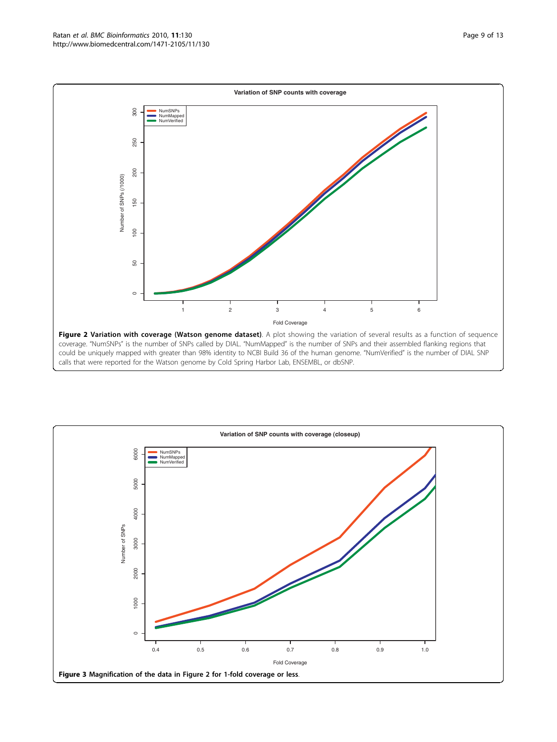<span id="page-8-0"></span>

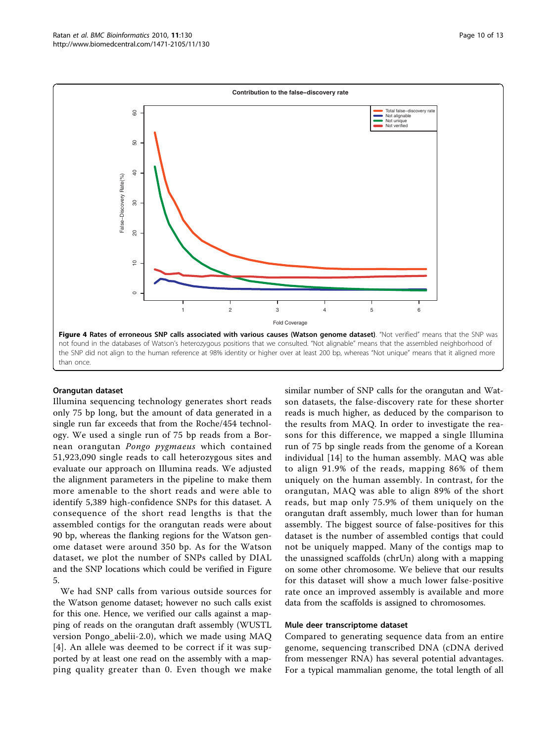<span id="page-9-0"></span>

#### Orangutan dataset

Illumina sequencing technology generates short reads only 75 bp long, but the amount of data generated in a single run far exceeds that from the Roche/454 technology. We used a single run of 75 bp reads from a Bornean orangutan Pongo pygmaeus which contained 51,923,090 single reads to call heterozygous sites and evaluate our approach on Illumina reads. We adjusted the alignment parameters in the pipeline to make them more amenable to the short reads and were able to identify 5,389 high-confidence SNPs for this dataset. A consequence of the short read lengths is that the assembled contigs for the orangutan reads were about 90 bp, whereas the flanking regions for the Watson genome dataset were around 350 bp. As for the Watson dataset, we plot the number of SNPs called by DIAL and the SNP locations which could be verified in Figure [5.](#page-10-0)

We had SNP calls from various outside sources for the Watson genome dataset; however no such calls exist for this one. Hence, we verified our calls against a mapping of reads on the orangutan draft assembly (WUSTL version Pongo\_abelii-2.0), which we made using MAQ [[4](#page-11-0)]. An allele was deemed to be correct if it was supported by at least one read on the assembly with a mapping quality greater than 0. Even though we make similar number of SNP calls for the orangutan and Watson datasets, the false-discovery rate for these shorter reads is much higher, as deduced by the comparison to the results from MAQ. In order to investigate the reasons for this difference, we mapped a single Illumina run of 75 bp single reads from the genome of a Korean individual [\[14](#page-12-0)] to the human assembly. MAQ was able to align 91.9% of the reads, mapping 86% of them uniquely on the human assembly. In contrast, for the orangutan, MAQ was able to align 89% of the short reads, but map only 75.9% of them uniquely on the orangutan draft assembly, much lower than for human assembly. The biggest source of false-positives for this dataset is the number of assembled contigs that could not be uniquely mapped. Many of the contigs map to the unassigned scaffolds (chrUn) along with a mapping on some other chromosome. We believe that our results for this dataset will show a much lower false-positive rate once an improved assembly is available and more data from the scaffolds is assigned to chromosomes.

### Mule deer transcriptome dataset

Compared to generating sequence data from an entire genome, sequencing transcribed DNA (cDNA derived from messenger RNA) has several potential advantages. For a typical mammalian genome, the total length of all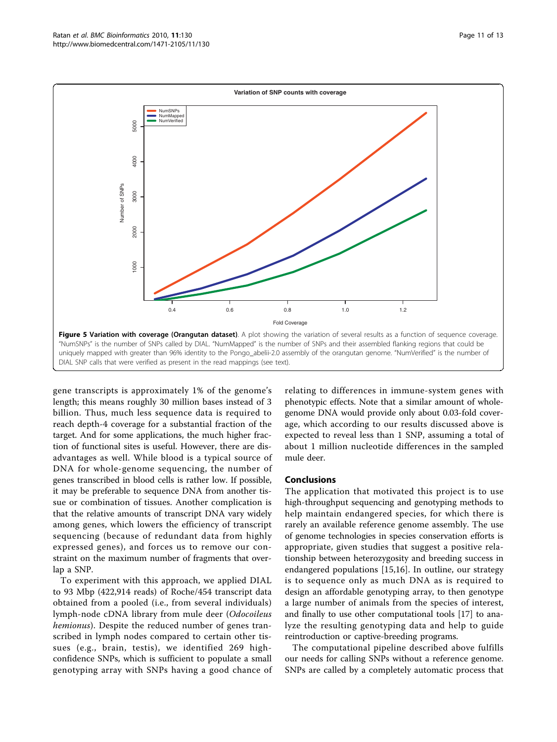<span id="page-10-0"></span>

gene transcripts is approximately 1% of the genome's length; this means roughly 30 million bases instead of 3 billion. Thus, much less sequence data is required to reach depth-4 coverage for a substantial fraction of the target. And for some applications, the much higher fraction of functional sites is useful. However, there are disadvantages as well. While blood is a typical source of DNA for whole-genome sequencing, the number of genes transcribed in blood cells is rather low. If possible, it may be preferable to sequence DNA from another tissue or combination of tissues. Another complication is that the relative amounts of transcript DNA vary widely among genes, which lowers the efficiency of transcript sequencing (because of redundant data from highly expressed genes), and forces us to remove our constraint on the maximum number of fragments that overlap a SNP.

To experiment with this approach, we applied DIAL to 93 Mbp (422,914 reads) of Roche/454 transcript data obtained from a pooled (i.e., from several individuals) lymph-node cDNA library from mule deer (Odocoileus hemionus). Despite the reduced number of genes transcribed in lymph nodes compared to certain other tissues (e.g., brain, testis), we identified 269 highconfidence SNPs, which is sufficient to populate a small genotyping array with SNPs having a good chance of

relating to differences in immune-system genes with phenotypic effects. Note that a similar amount of wholegenome DNA would provide only about 0.03-fold coverage, which according to our results discussed above is expected to reveal less than 1 SNP, assuming a total of about 1 million nucleotide differences in the sampled mule deer.

#### Conclusions

The application that motivated this project is to use high-throughput sequencing and genotyping methods to help maintain endangered species, for which there is rarely an available reference genome assembly. The use of genome technologies in species conservation efforts is appropriate, given studies that suggest a positive relationship between heterozygosity and breeding success in endangered populations [\[15,16](#page-12-0)]. In outline, our strategy is to sequence only as much DNA as is required to design an affordable genotyping array, to then genotype a large number of animals from the species of interest, and finally to use other computational tools [[17\]](#page-12-0) to analyze the resulting genotyping data and help to guide reintroduction or captive-breeding programs.

The computational pipeline described above fulfills our needs for calling SNPs without a reference genome. SNPs are called by a completely automatic process that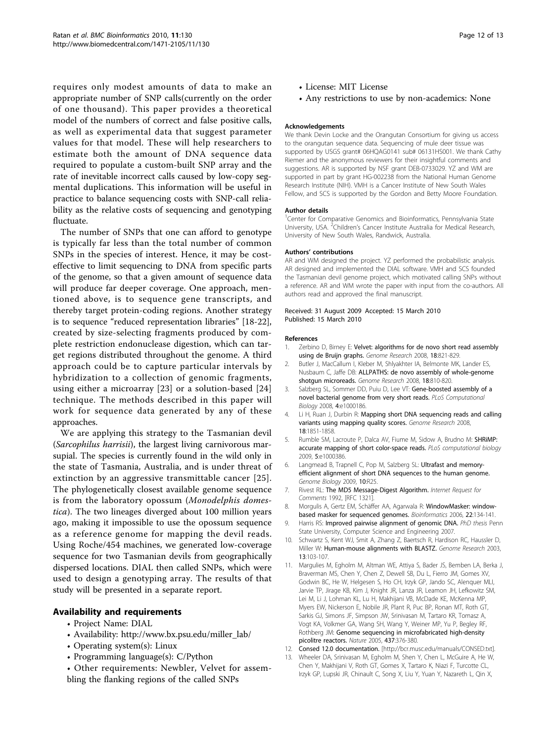<span id="page-11-0"></span>requires only modest amounts of data to make an appropriate number of SNP calls(currently on the order of one thousand). This paper provides a theoretical model of the numbers of correct and false positive calls, as well as experimental data that suggest parameter values for that model. These will help researchers to estimate both the amount of DNA sequence data required to populate a custom-built SNP array and the rate of inevitable incorrect calls caused by low-copy segmental duplications. This information will be useful in practice to balance sequencing costs with SNP-call reliability as the relative costs of sequencing and genotyping fluctuate.

The number of SNPs that one can afford to genotype is typically far less than the total number of common SNPs in the species of interest. Hence, it may be costeffective to limit sequencing to DNA from specific parts of the genome, so that a given amount of sequence data will produce far deeper coverage. One approach, mentioned above, is to sequence gene transcripts, and thereby target protein-coding regions. Another strategy is to sequence "reduced representation libraries" [\[18-22](#page-12-0)], created by size-selecting fragments produced by complete restriction endonuclease digestion, which can target regions distributed throughout the genome. A third approach could be to capture particular intervals by hybridization to a collection of genomic fragments, using either a microarray [\[23](#page-12-0)] or a solution-based [\[24](#page-12-0)] technique. The methods described in this paper will work for sequence data generated by any of these approaches.

We are applying this strategy to the Tasmanian devil (Sarcophilus harrisii), the largest living carnivorous marsupial. The species is currently found in the wild only in the state of Tasmania, Australia, and is under threat of extinction by an aggressive transmittable cancer [[25\]](#page-12-0). The phylogenetically closest available genome sequence is from the laboratory opossum (Monodelphis domestica). The two lineages diverged about 100 million years ago, making it impossible to use the opossum sequence as a reference genome for mapping the devil reads. Using Roche/454 machines, we generated low-coverage sequence for two Tasmanian devils from geographically dispersed locations. DIAL then called SNPs, which were used to design a genotyping array. The results of that study will be presented in a separate report.

# Availability and requirements

- Project Name: DIAL
- Availability: [http://www.bx.psu.edu/miller\\_lab/](http://www.bx.psu.edu/miller_lab/)
- Operating system(s): Linux
- Programming language(s): C/Python
- Other requirements: Newbler, Velvet for assembling the flanking regions of the called SNPs

Page 12 of 13

- License: MIT License
- Any restrictions to use by non-academics: None

#### Acknowledgements

We thank Devin Locke and the Orangutan Consortium for giving us access to the orangutan sequence data. Sequencing of mule deer tissue was supported by USGS grant# 06HQAG0141 sub# 06131HS001. We thank Cathy Riemer and the anonymous reviewers for their insightful comments and suggestions. AR is supported by NSF grant DEB-0733029. YZ and WM are supported in part by grant HG-002238 from the National Human Genome Research Institute (NIH). VMH is a Cancer Institute of New South Wales Fellow, and SCS is supported by the Gordon and Betty Moore Foundation.

#### Author details

<sup>1</sup> Center for Comparative Genomics and Bioinformatics, Pennsylvania State University, USA. <sup>2</sup>Children's Cancer Institute Australia for Medical Research, University of New South Wales, Randwick, Australia.

#### Authors' contributions

AR and WM designed the project. YZ performed the probabilistic analysis. AR designed and implemented the DIAL software. VMH and SCS founded the Tasmanian devil genome project, which motivated calling SNPs without a reference. AR and WM wrote the paper with input from the co-authors. All authors read and approved the final manuscript.

#### Received: 31 August 2009 Accepted: 15 March 2010 Published: 15 March 2010

#### References

- 1. Zerbino D, Birney E: [Velvet: algorithms for de novo short read assembly](http://www.ncbi.nlm.nih.gov/pubmed/18349386?dopt=Abstract) [using de Bruijn graphs.](http://www.ncbi.nlm.nih.gov/pubmed/18349386?dopt=Abstract) Genome Research 2008, 18:821-829.
- 2. Butler J, MacCallum I, Kleber M, Shlyakhter IA, Belmonte MK, Lander ES, Nusbaum C, Jaffe DB: [ALLPATHS: de novo assembly of whole-genome](http://www.ncbi.nlm.nih.gov/pubmed/18340039?dopt=Abstract) [shotgun microreads.](http://www.ncbi.nlm.nih.gov/pubmed/18340039?dopt=Abstract) Genome Research 2008, 18:810-820.
- 3. Salzberg SL, Sommer DD, Puiu D, Lee VT: [Gene-boosted assembly of a](http://www.ncbi.nlm.nih.gov/pubmed/18818729?dopt=Abstract) [novel bacterial genome from very short reads.](http://www.ncbi.nlm.nih.gov/pubmed/18818729?dopt=Abstract) PLoS Computational Biology 2008, 4:e1000186.
- 4. Li H, Ruan J, Durbin R: [Mapping short DNA sequencing reads and calling](http://www.ncbi.nlm.nih.gov/pubmed/18714091?dopt=Abstract) [variants using mapping quality scores.](http://www.ncbi.nlm.nih.gov/pubmed/18714091?dopt=Abstract) Genome Research 2008, 18:1851-1858.
- 5. Rumble SM, Lacroute P, Dalca AV, Fiume M, Sidow A, Brudno M: [SHRiMP:](http://www.ncbi.nlm.nih.gov/pubmed/19461883?dopt=Abstract) [accurate mapping of short color-space reads.](http://www.ncbi.nlm.nih.gov/pubmed/19461883?dopt=Abstract) PLoS computational biology 2009, 5:e1000386.
- 6. Langmead B, Trapnell C, Pop M, Salzberg SL: [Ultrafast and memory](http://www.ncbi.nlm.nih.gov/pubmed/19261174?dopt=Abstract)[efficient alignment of short DNA sequences to the human genome.](http://www.ncbi.nlm.nih.gov/pubmed/19261174?dopt=Abstract) Genome Biology 2009, 10:R25.
- 7. Rivest RL: The MD5 Message-Digest Algorithm. Internet Request for Comments 1992, [RFC 1321].
- 8. Morgulis A, Gertz EM, Schäffer AA, Agarwala R: [WindowMasker: window](http://www.ncbi.nlm.nih.gov/pubmed/16287941?dopt=Abstract)[based masker for sequenced genomes.](http://www.ncbi.nlm.nih.gov/pubmed/16287941?dopt=Abstract) Bioinformatics 2006, 22:134-141.
- 9. Harris RS: Improved pairwise alignment of genomic DNA. PhD thesis Penn State University, Computer Science and Engineering 2007.
- 10. Schwartz S, Kent WJ, Smit A, Zhang Z, Baertsch R, Hardison RC, Haussler D, Miller W: [Human-mouse alignments with BLASTZ.](http://www.ncbi.nlm.nih.gov/pubmed/12529312?dopt=Abstract) Genome Research 2003, 13:103-107.
- 11. Margulies M, Egholm M, Altman WE, Attiya S, Bader JS, Bemben LA, Berka J, Braverman MS, Chen Y, Chen Z, Dewell SB, Du L, Fierro JM, Gomes XV, Godwin BC, He W, Helgesen S, Ho CH, Irzyk GP, Jando SC, Alenquer MLI, Jarvie TP, Jirage KB, Kim J, Knight JR, Lanza JR, Leamon JH, Lefkowitz SM, Lei M, Li J, Lohman KL, Lu H, Makhijani VB, McDade KE, McKenna MP, Myers EW, Nickerson E, Nobile JR, Plant R, Puc BP, Ronan MT, Roth GT, Sarkis GJ, Simons JF, Simpson JW, Srinivasan M, Tartaro KR, Tomasz A, Vogt KA, Volkmer GA, Wang SH, Wang Y, Weiner MP, Yu P, Begley RF, Rothberg JM: [Genome sequencing in microfabricated high-density](http://www.ncbi.nlm.nih.gov/pubmed/16056220?dopt=Abstract) [picolitre reactors.](http://www.ncbi.nlm.nih.gov/pubmed/16056220?dopt=Abstract) Nature 2005, 437:376-380.
- 12. Consed 12.0 documentation. [\[http://bcr.musc.edu/manuals/CONSED.txt\]](http://bcr.musc.edu/manuals/CONSED.txt).
- 13. Wheeler DA, Srinivasan M, Egholm M, Shen Y, Chen L, McGuire A, He W, Chen Y, Makhijani V, Roth GT, Gomes X, Tartaro K, Niazi F, Turcotte CL, Irzyk GP, Lupski JR, Chinault C, Song X, Liu Y, Yuan Y, Nazareth L, Qin X,